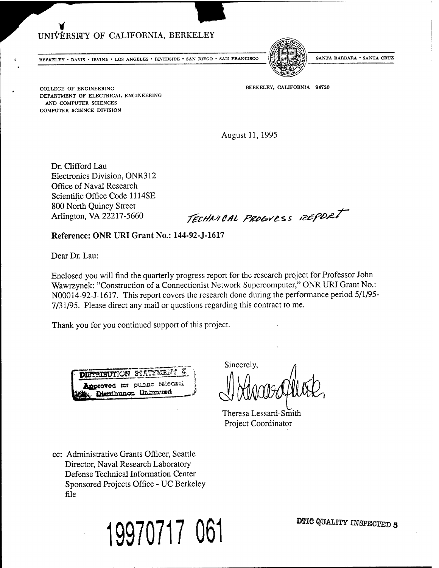# UNIVERSITY OF CALIFORNIA, BERKELEY

**BERKELEY • DAVIS • IRVINE • LOS ANGELES • RIVERSIDE • SAN DIEGO • SAN FRANCISCO |**



**SANTA BARBARA • SANTA CRUZ**

BERKELEY, CALIFORNIA 94720

COLLEGE OF ENGINEERING DEPARTMENT OF ELECTRICAL ENGINEERING AND COMPUTER SCIENCES COMPUTER SCIENCE DIVISION

August 11, 1995

Dr. Clifford Lau Electronics Division, ONR312 Office of Naval Research Scientific Office Code 1114SE 800 North Quincy Street

Arlington, VA 22217-5660 *•fectINI CAL PROGULSS reepDRT* 

Reference: ONR URI Grant No.: 144-92-J-1617

Dear Dr. Lau:

Enclosed you will find the quarterly progress report for the research project for Professor John Wawrzynek: "Construction of a Connectionist Network Supercomputer," ONR URI Grant No.: N00014-92-J-1617. This report covers the research done during the performance period 5/1/95- 7/31/95. Please direct any mail or questions regarding this contract to me.

Thank you for you continued support of this project.



Sincerely,

Theresa Lessard-Smith Project Coordinator

cc: Administrative Grants Officer, Seattle Director, Naval Research Laboratory Defense Technical Information Center Sponsored Projects Office - UC Berkeley file

19970717 061 DEGREE ON DET USE OUTLIEF INSPECTED 8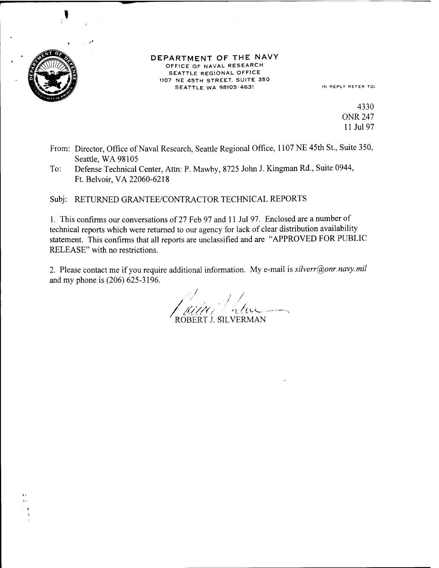

DEPARTMENT OF THE NAVY OFFICE OF NAVAL RESEARCH SEATTLE REGIONAL OFFICE 1107 NE 45TH STREET. SUITE 350 SEATTLE WA 98105-4631 IN REPLY REFER TO:

4330 ONR 247 11 Jul 97

- From: Director, Office of Naval Research, Seattle Regional Office, 1107 NE 45th St., Suite 350, Seattle, WA 98105
- To: Defense Technical Center, Atta: P. Mawby, 8725 John J. Kingraan Rd., Suite 0944, Ft. Belvoir,VA 22060-6218

Subj: RETURNED GRANTEE/CONTRACTOR TECHNICAL REPORTS

1. This confirms our conversations of 27 Feb 97 and <sup>11</sup> Jul 97. Enclosed are a number of technical reports which were returned to our agency for lack of clear distribution availability statement. This confirms that all reports are unclassified and are "APPROVED FOR PUBLIC RELEASE" with no restrictions.

2. Please contact me if you require additional information. My e-mail is *silverr@onr.navy.mil* and my phone is (206) 625-3196.

ROBERT J. SILVERMAN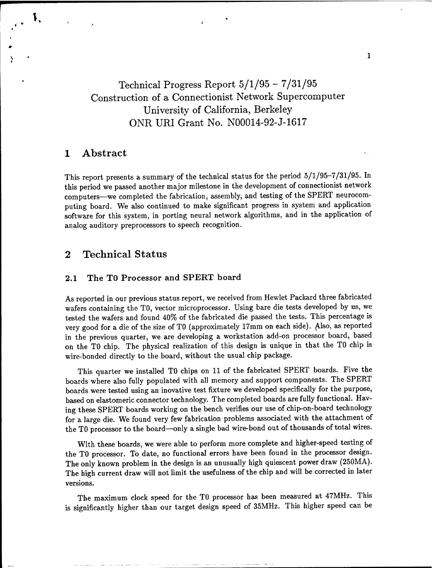Technical Progress Report 5/1/95 - 7/31/95 Construction of a Connectionist Network Supercomputer University of California, Berkeley ONR URI Grant No. N00014-92-J-1617

## **1 Abstract**

**K**

This report presents a summary of the technical status for the period 5/1/95-7/31/95. In this period we passed another major milestone in the development of connectionist network computers—we completed the fabrication, assembly, and testing of the SPERT neurocomputing board. We also continued to make significant progress in system and application software for this system, in porting neural network algorithms, and in the application of analog auditory preprocessors to speech recognition.

## **2 Technical Status**

### **2.1 The TO Processor and SPERT board**

As reported in our previous status report, we received from Hewlet Packard three fabricated wafers containing the TO, vector microprocessor. Using bare die tests developed by us, we tested the wafers and found 40% of the fabricated die passed the tests. This percentage is very good for a die of the size of TO (approximately 17mm on each side). Also, as reported in the previous quarter, we are developing a workstation add-on processor board, based on the TO chip. The physical realization of this design is unique in that the TO chip is wire-bonded directly to the board, without the usual chip package.

This quarter we installed TO chips on 11 of the fabricated SPERT boards. Five the boards where also fully populated with all memory and support components. The SPERT boards were tested using an inovative test fixture we developed specifically for the purpose, based on elastomeric connector technology. The completed boards are fully functional. Having these SPERT boards working on the bench verifies our use of chip-on-board technology for a large die. We found very few fabrication problems associated with the attachment of the TO processor to the board—only a single bad wire-bond out of thousands of total wires.

With these boards, we were able to perform more complete and higher-speed testing of the TO processor. To date, no functional errors have been found in the processor design. The only known problem in the design is an unusually high quiescent power draw (250MA). The high current draw will not limit the usefulness of the chip and will be corrected in later versions.

The maximum clock speed for the TO processor has been measured at 47MHz. This is significantly higher than our target design speed of 35MHz. This higher speed can be

 $\mathbf{1}$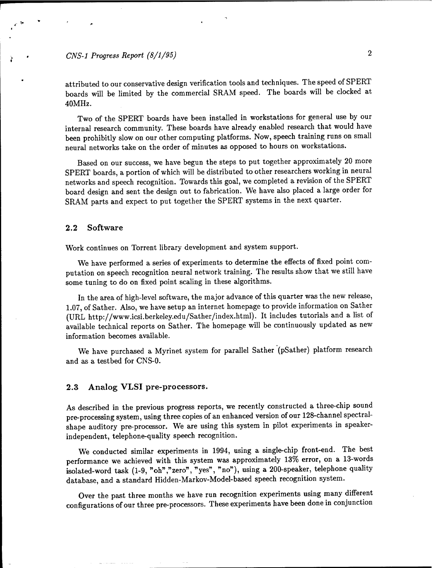## *CNS-1 Progress Report (8/1/95)* 2

attributed to our conservative design verification tools and techniques. The speed of SPERT boards will be limited by the commercial SRAM speed. The boards will be clocked at 40MHz.

Two of the SPERT boards have been installed in workstations for general use by our internal research community. These boards have already enabled research that would have been prohibitly slow on our other computing platforms. Now, speech training runs on small neural networks take on the order of minutes as opposed to hours on workstations.

Based on our success, we have begun the steps to put together approximately 20 more SPERT boards, a portion of which will be distributed to other researchers working in neural networks and speech recognition. Towards this goal, we completed a revision of the SPERT board design and sent the design out to fabrication. We have also placed a large order for SRAM parts and expect to put together the SPERT systems in the next quarter.

#### 2.2 **Software**

Work continues on Torrent library development and system support.

We have performed a series of experiments to determine the effects of fixed point computation on speech recognition neural network training. The results show that we still have some tuning to do on fixed point scaling in these algorithms.

In the area of high-level software, the major advance of this quarter was the new release, 1.07, of Sather. Also, we have setup an internet homepage to provide information on Sather (URL http://www.icsi.berkeley.edu/Sather/index.html). It includes tutorials and a list of available technical reports on Sather. The homepage will be continuously updated as new information becomes available.

We have purchased a Myrinet system for parallel Sather (pSather) platform research and as a testbed for CNS-0.

### **2.3 Analog VLSI pre-processors.**

As described in the previous progress reports, we recently constructed a three-chip sound pre-processing system, using three copies of an enhanced version of our 128-channel spectralshape auditory pre-processor. We are using this system in pilot experiments in speakerindependent, telephone-quality speech recognition.

We conducted similar experiments in 1994, using a single-chip front-end. The best performance we achieved with this system was approximately 13% error, on a 13-words isolated-word task (1-9, "oh","zero", "yes", "no"), using a 200-speaker, telephone quality database, and a standard Hidden-Markov-Model-based speech recognition system.

Over the past three months we have run recognition experiments using many different configurations of our three pre-processors. These experiments have been done in conjunction